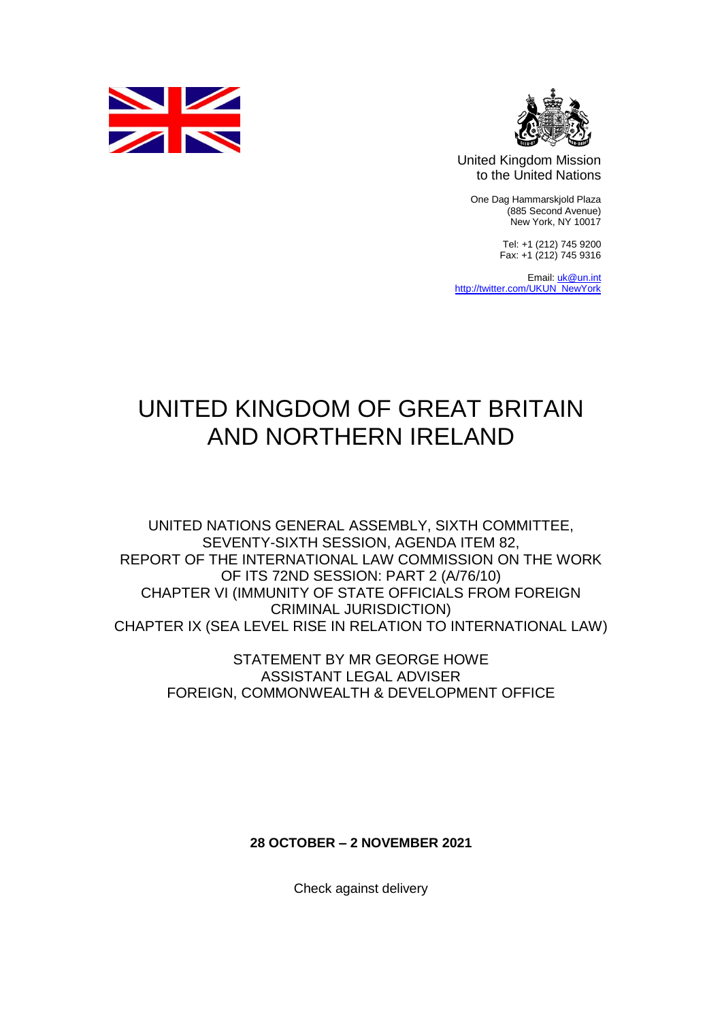



United Kingdom Mission to the United Nations

One Dag Hammarskjold Plaza (885 Second Avenue) New York, NY 10017

> Tel: +1 (212) 745 9200 Fax: +1 (212) 745 9316

Email[: uk@un.int](mailto:uk@un.int) [http://twitter.com/UKUN\\_NewYork](http://twitter.com/UKUN_NewYork)

## UNITED KINGDOM OF GREAT BRITAIN AND NORTHERN IRELAND

UNITED NATIONS GENERAL ASSEMBLY, SIXTH COMMITTEE, SEVENTY-SIXTH SESSION, AGENDA ITEM 82, REPORT OF THE INTERNATIONAL LAW COMMISSION ON THE WORK OF ITS 72ND SESSION: PART 2 (A/76/10) CHAPTER VI (IMMUNITY OF STATE OFFICIALS FROM FOREIGN CRIMINAL JURISDICTION) CHAPTER IX (SEA LEVEL RISE IN RELATION TO INTERNATIONAL LAW)

> STATEMENT BY MR GEORGE HOWE ASSISTANT LEGAL ADVISER FOREIGN, COMMONWEALTH & DEVELOPMENT OFFICE

> > **28 OCTOBER – 2 NOVEMBER 2021**

Check against delivery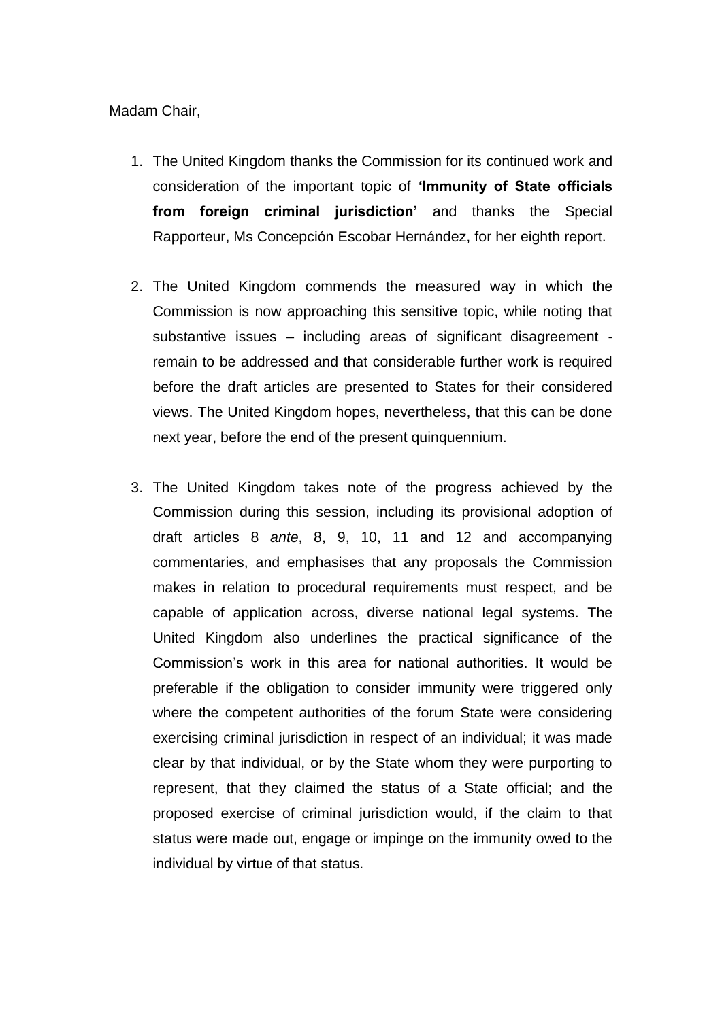Madam Chair,

- 1. The United Kingdom thanks the Commission for its continued work and consideration of the important topic of **'Immunity of State officials from foreign criminal jurisdiction'** and thanks the Special Rapporteur, Ms Concepción Escobar Hernández, for her eighth report.
- 2. The United Kingdom commends the measured way in which the Commission is now approaching this sensitive topic, while noting that substantive issues – including areas of significant disagreement remain to be addressed and that considerable further work is required before the draft articles are presented to States for their considered views. The United Kingdom hopes, nevertheless, that this can be done next year, before the end of the present quinquennium.
- 3. The United Kingdom takes note of the progress achieved by the Commission during this session, including its provisional adoption of draft articles 8 *ante*, 8, 9, 10, 11 and 12 and accompanying commentaries, and emphasises that any proposals the Commission makes in relation to procedural requirements must respect, and be capable of application across, diverse national legal systems. The United Kingdom also underlines the practical significance of the Commission's work in this area for national authorities. It would be preferable if the obligation to consider immunity were triggered only where the competent authorities of the forum State were considering exercising criminal jurisdiction in respect of an individual; it was made clear by that individual, or by the State whom they were purporting to represent, that they claimed the status of a State official; and the proposed exercise of criminal jurisdiction would, if the claim to that status were made out, engage or impinge on the immunity owed to the individual by virtue of that status.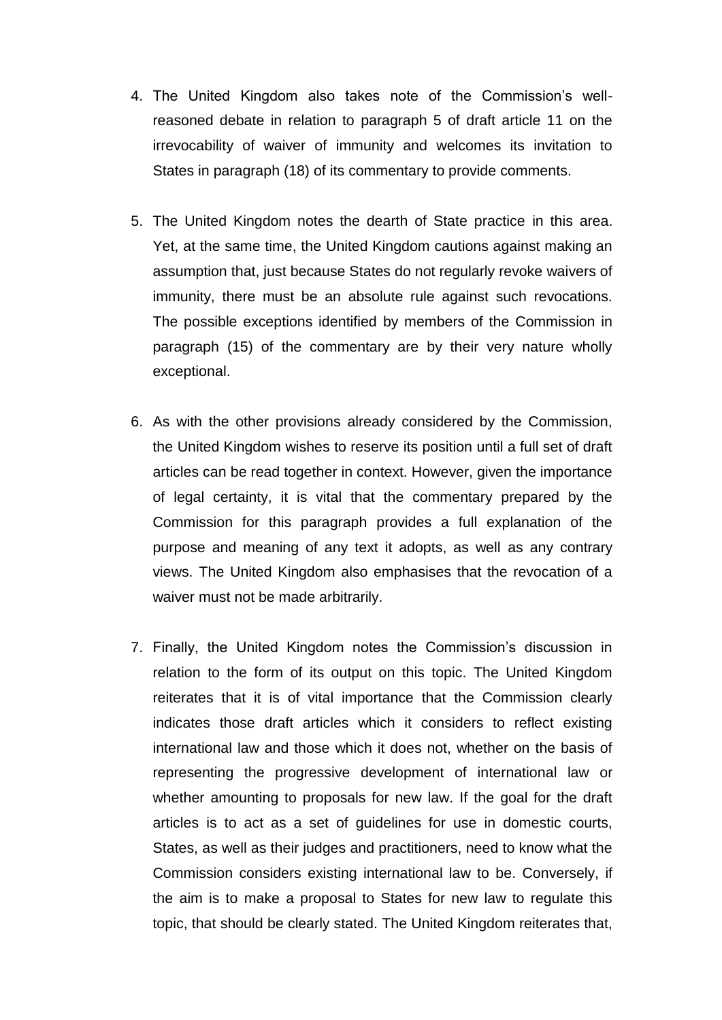- 4. The United Kingdom also takes note of the Commission's wellreasoned debate in relation to paragraph 5 of draft article 11 on the irrevocability of waiver of immunity and welcomes its invitation to States in paragraph (18) of its commentary to provide comments.
- 5. The United Kingdom notes the dearth of State practice in this area. Yet, at the same time, the United Kingdom cautions against making an assumption that, just because States do not regularly revoke waivers of immunity, there must be an absolute rule against such revocations. The possible exceptions identified by members of the Commission in paragraph (15) of the commentary are by their very nature wholly exceptional.
- 6. As with the other provisions already considered by the Commission, the United Kingdom wishes to reserve its position until a full set of draft articles can be read together in context. However, given the importance of legal certainty, it is vital that the commentary prepared by the Commission for this paragraph provides a full explanation of the purpose and meaning of any text it adopts, as well as any contrary views. The United Kingdom also emphasises that the revocation of a waiver must not be made arbitrarily.
- 7. Finally, the United Kingdom notes the Commission's discussion in relation to the form of its output on this topic. The United Kingdom reiterates that it is of vital importance that the Commission clearly indicates those draft articles which it considers to reflect existing international law and those which it does not, whether on the basis of representing the progressive development of international law or whether amounting to proposals for new law. If the goal for the draft articles is to act as a set of guidelines for use in domestic courts, States, as well as their judges and practitioners, need to know what the Commission considers existing international law to be. Conversely, if the aim is to make a proposal to States for new law to regulate this topic, that should be clearly stated. The United Kingdom reiterates that,